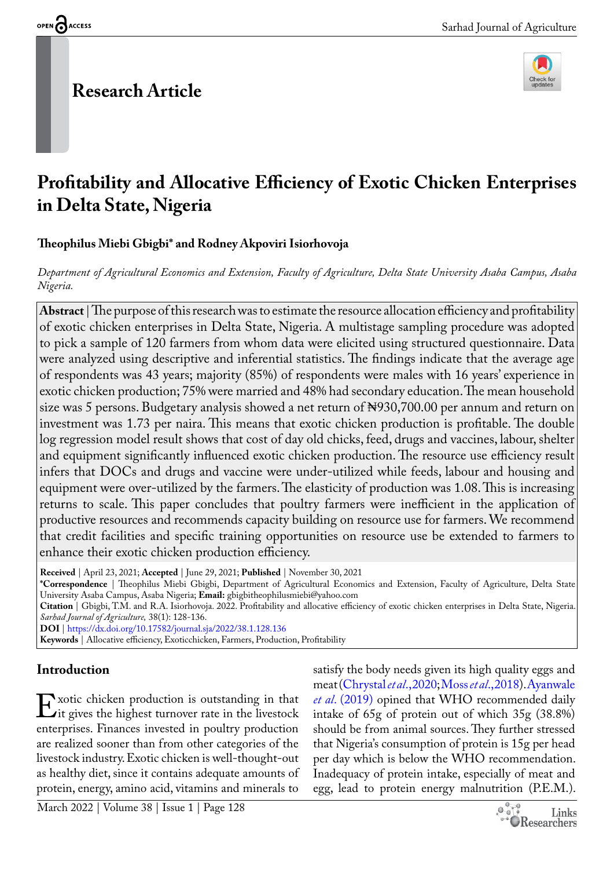# **Research Article**



# **Profitability and Allocative Efficiency of Exotic Chicken Enterprises in Delta State, Nigeria**

## **Theophilus Miebi Gbigbi\* and Rodney Akpoviri Isiorhovoja**

*Department of Agricultural Economics and Extension, Faculty of Agriculture, Delta State University Asaba Campus, Asaba Nigeria.*

**Abstract** | The purpose of this research was to estimate the resource allocation efficiency and profitability of exotic chicken enterprises in Delta State, Nigeria. A multistage sampling procedure was adopted to pick a sample of 120 farmers from whom data were elicited using structured questionnaire. Data were analyzed using descriptive and inferential statistics. The findings indicate that the average age of respondents was 43 years; majority (85%) of respondents were males with 16 years' experience in exotic chicken production; 75% were married and 48% had secondary education. The mean household size was 5 persons. Budgetary analysis showed a net return of New 130,700.00 per annum and return on investment was 1.73 per naira. This means that exotic chicken production is profitable. The double log regression model result shows that cost of day old chicks, feed, drugs and vaccines, labour, shelter and equipment significantly influenced exotic chicken production. The resource use efficiency result infers that DOCs and drugs and vaccine were under-utilized while feeds, labour and housing and equipment were over-utilized by the farmers. The elasticity of production was 1.08. This is increasing returns to scale. This paper concludes that poultry farmers were inefficient in the application of productive resources and recommends capacity building on resource use for farmers. We recommend that credit facilities and specific training opportunities on resource use be extended to farmers to enhance their exotic chicken production efficiency.

**Received** | April 23, 2021; **Accepted** | June 29, 2021; **Published** | November 30, 2021

**\*Correspondence** | Theophilus Miebi Gbigbi, Department of Agricultural Economics and Extension, Faculty of Agriculture, Delta State University Asaba Campus, Asaba Nigeria; **Email:** gbigbitheophilusmiebi@yahoo.com

**Citation** | Gbigbi, T.M. and R.A. Isiorhovoja. 2022. Profitability and allocative efficiency of exotic chicken enterprises in Delta State, Nigeria. *Sarhad Journal of Agriculture,* 38(1): 128-136.

**DOI** |<https://dx.doi.org/10.17582/journal.sja/2022/38.1.128.136>

**Keywords** | Allocative efficiency, Exoticchicken, Farmers, Production, Profitability

## **Introduction**

Exotic chicken production is outstanding in that<br>Lit gives the highest turnover rate in the livestock<br>enterprises. Finances invested in poultry production it gives the highest turnover rate in the livestock enterprises. Finances invested in poultry production are realized sooner than from other categories of the livestock industry. Exotic chicken is well-thought-out as healthy diet, since it contains adequate amounts of protein, energy, amino acid, vitamins and minerals to

satisfy the body needs given its high quality eggs and meat ([Chrystal](#page-6-0) *et al*., 2020; Moss *et al*[., 2018\)](#page-7-0). [Ayanwale](#page-6-1)  *et al*[. \(2019\)](#page-6-1) opined that WHO recommended daily intake of 65g of protein out of which 35g (38.8%) should be from animal sources. They further stressed that Nigeria's consumption of protein is 15g per head per day which is below the WHO recommendation. Inadequacy of protein intake, especially of meat and egg, lead to protein energy malnutrition (P.E.M.).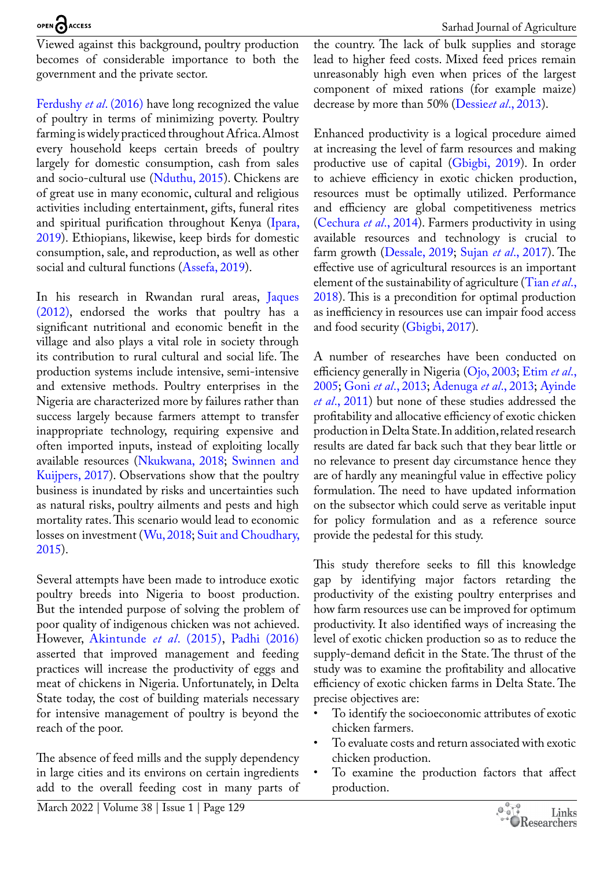Viewed against this background, poultry production becomes of considerable importance to both the government and the private sector.

[Ferdushy](#page-7-1) *et al*. (2016) have long recognized the value of poultry in terms of minimizing poverty. Poultry farming is widely practiced throughout Africa. Almost every household keeps certain breeds of poultry largely for domestic consumption, cash from sales and socio-cultural use ([Nduthu, 2015\)](#page-7-2). Chickens are of great use in many economic, cultural and religious activities including entertainment, gifts, funeral rites and spiritual purification throughout Kenya ([Ipara,](#page-7-3)  [2019](#page-7-3)). Ethiopians, likewise, keep birds for domestic consumption, sale, and reproduction, as well as other social and cultural functions ([Assefa, 2019\)](#page-6-2).

In his research in Rwandan rural areas, [Jaques](#page-7-4)  [\(2012\)](#page-7-4), endorsed the works that poultry has a significant nutritional and economic benefit in the village and also plays a vital role in society through its contribution to rural cultural and social life. The production systems include intensive, semi-intensive and extensive methods. Poultry enterprises in the Nigeria are characterized more by failures rather than success largely because farmers attempt to transfer inappropriate technology, requiring expensive and often imported inputs, instead of exploiting locally available resources ([Nkukwana, 2018](#page-7-5); [Swinnen and](#page-8-0)  [Kuijpers, 2017\)](#page-8-0). Observations show that the poultry business is inundated by risks and uncertainties such as natural risks, poultry ailments and pests and high mortality rates. This scenario would lead to economic losses on investment ([Wu, 2018](#page-8-1); [Suit and Choudhary,](#page-8-2)  [2015](#page-8-2)).

Several attempts have been made to introduce exotic poultry breeds into Nigeria to boost production. But the intended purpose of solving the problem of poor quality of indigenous chicken was not achieved. However, [Akintunde](#page-6-3) *et al*. (2015), [Padhi \(2016\)](#page-7-6)  asserted that improved management and feeding practices will increase the productivity of eggs and meat of chickens in Nigeria. Unfortunately, in Delta State today, the cost of building materials necessary for intensive management of poultry is beyond the reach of the poor.

The absence of feed mills and the supply dependency in large cities and its environs on certain ingredients add to the overall feeding cost in many parts of the country. The lack of bulk supplies and storage lead to higher feed costs. Mixed feed prices remain unreasonably high even when prices of the largest component of mixed rations (for example maize) decrease by more than 50% (Dessie*et al*[., 2013](#page-6-4)).

Enhanced productivity is a logical procedure aimed at increasing the level of farm resources and making productive use of capital ([Gbigbi, 2019\)](#page-7-7). In order to achieve efficiency in exotic chicken production, resources must be optimally utilized. Performance and efficiency are global competitiveness metrics [\(Cechura](#page-6-5) *et al*., 2014). Farmers productivity in using available resources and technology is crucial to farm growth ([Dessale, 2019;](#page-6-6) Sujan *et al*[., 2017\)](#page-8-3). The effective use of agricultural resources is an important element of the sustainability of agriculture [\(Tian](#page-8-4) *et al*., [2018](#page-8-4)). This is a precondition for optimal production as inefficiency in resources use can impair food access and food security ([Gbigbi, 2017](#page-7-8)).

A number of researches have been conducted on efficiency generally in Nigeria [\(Ojo, 2003;](#page-7-9) [Etim](#page-7-10) *et al*., [2005](#page-7-10); Goni *et al*[., 2013;](#page-7-11) [Adenuga](#page-6-7) *et al*., 2013; [Ayinde](#page-6-8)  *et al*[., 2011](#page-6-8)) but none of these studies addressed the profitability and allocative efficiency of exotic chicken production in Delta State. In addition, related research results are dated far back such that they bear little or no relevance to present day circumstance hence they are of hardly any meaningful value in effective policy formulation. The need to have updated information on the subsector which could serve as veritable input for policy formulation and as a reference source provide the pedestal for this study.

This study therefore seeks to fill this knowledge gap by identifying major factors retarding the productivity of the existing poultry enterprises and how farm resources use can be improved for optimum productivity. It also identified ways of increasing the level of exotic chicken production so as to reduce the supply-demand deficit in the State. The thrust of the study was to examine the profitability and allocative efficiency of exotic chicken farms in Delta State. The precise objectives are:

- To identify the socioeconomic attributes of exotic chicken farmers.
- To evaluate costs and return associated with exotic chicken production.
- To examine the production factors that affect production.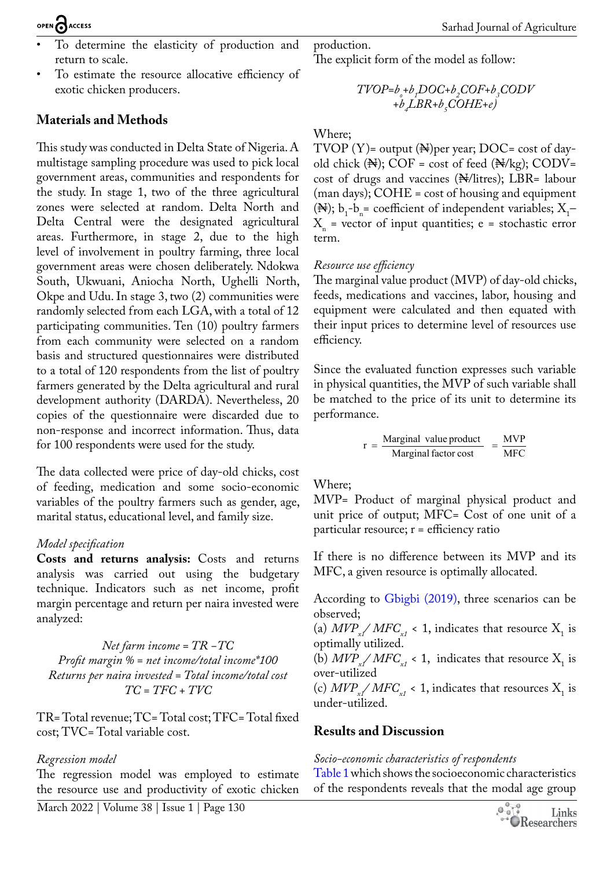- To determine the elasticity of production and return to scale.
- To estimate the resource allocative efficiency of exotic chicken producers.

## **Materials and Methods**

This study was conducted in Delta State of Nigeria. A multistage sampling procedure was used to pick local government areas, communities and respondents for the study. In stage 1, two of the three agricultural zones were selected at random. Delta North and Delta Central were the designated agricultural areas. Furthermore, in stage 2, due to the high level of involvement in poultry farming, three local government areas were chosen deliberately. Ndokwa South, Ukwuani, Aniocha North, Ughelli North, Okpe and Udu. In stage 3, two (2) communities were randomly selected from each LGA, with a total of 12 participating communities. Ten (10) poultry farmers from each community were selected on a random basis and structured questionnaires were distributed to a total of 120 respondents from the list of poultry farmers generated by the Delta agricultural and rural development authority (DARDA). Nevertheless, 20 copies of the questionnaire were discarded due to non-response and incorrect information. Thus, data for 100 respondents were used for the study.

The data collected were price of day-old chicks, cost of feeding, medication and some socio-economic variables of the poultry farmers such as gender, age, marital status, educational level, and family size.

## *Model specification*

**Costs and returns analysis:** Costs and returns analysis was carried out using the budgetary technique. Indicators such as net income, profit margin percentage and return per naira invested were analyzed:

*Net farm income = TR −TC Profit margin % = net income/total income\*100 Returns per naira invested = Total income/total cost TC = TFC + TVC*

TR= Total revenue; TC= Total cost; TFC= Total fixed cost; TVC= Total variable cost.

## *Regression model*

The regression model was employed to estimate the resource use and productivity of exotic chicken production.

The explicit form of the model as follow:

$$
\begin{matrix} TVOP{=}b_s{+}b_sDOC{+}b_sCOF{+}b_sCODV\\+b_sLBR{+}b_sCOHE{+}e\end{matrix}
$$

### Where;

TVOP  $(Y)$ = output  $(\mathbb{N})$ per year; DOC= cost of dayold chick  $(\mathbb{N});$  COF = cost of feed  $(\mathbb{N}/\text{kg});$  CODV= cost of drugs and vaccines (N/litres); LBR= labour (man days); COHE = cost of housing and equipment ( $\mathbb{N}$ );  $b_1 - b_n =$  coefficient of independent variables;  $X_1 X_n$  = vector of input quantities; e = stochastic error term.

#### *Resource use efficiency*

The marginal value product (MVP) of day-old chicks, feeds, medications and vaccines, labor, housing and equipment were calculated and then equated with their input prices to determine level of resources use efficiency.

Since the evaluated function expresses such variable in physical quantities, the MVP of such variable shall be matched to the price of its unit to determine its performance.

$$
r = \frac{\text{Marginal value product}}{\text{Marginal factor cost}} = \frac{\text{MVP}}{\text{MFC}}
$$

Where;

MVP= Product of marginal physical product and unit price of output; MFC= Cost of one unit of a particular resource; r = efficiency ratio

If there is no difference between its MVP and its MFC, a given resource is optimally allocated.

According to [Gbigbi \(2019\)](#page-7-7), three scenarios can be observed;

(a)  $MVP_{x1} / MFC_{x1} < 1$ , indicates that resource  $X_1$  is optimally utilized.

(b)  $MVP_{x1} / MFC_{x1} < 1$ , indicates that resource  $X_1$  is over-utilized

(c)  $MVP_{x_1}/MFC_{x_1}$  < 1, indicates that resources  $X_1$  is under-utilized.

## **Results and Discussion**

## *Socio-economic characteristics of respondents*

[Table 1](#page-3-0) which shows the socioeconomic characteristics of the respondents reveals that the modal age group

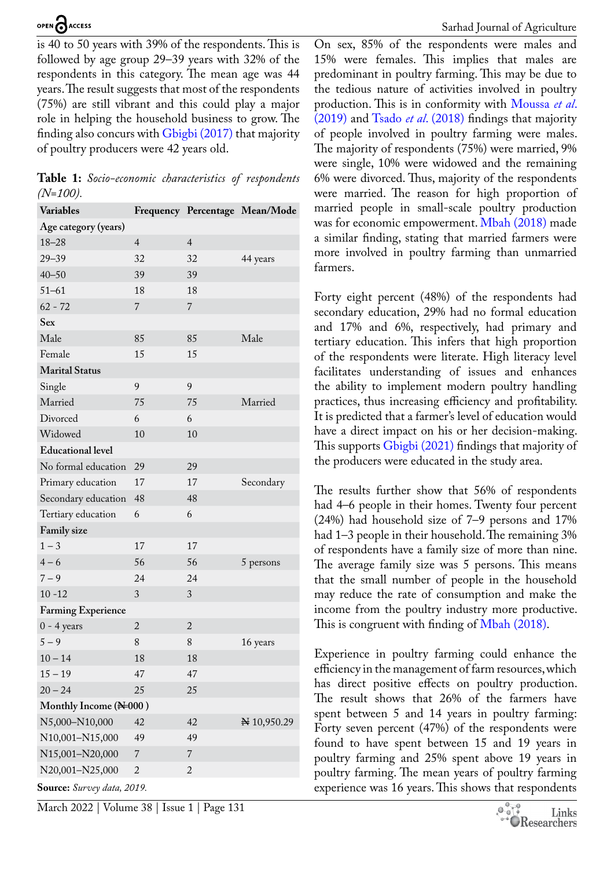is 40 to 50 years with 39% of the respondents. This is followed by age group 29–39 years with 32% of the respondents in this category. The mean age was 44 years. The result suggests that most of the respondents (75%) are still vibrant and this could play a major role in helping the household business to grow. The finding also concurs with [Gbigbi \(2017\)](#page-7-8) that majority of poultry producers were 42 years old.

<span id="page-3-0"></span>**Table 1:** *Socio-economic characteristics of respondents (N=100).*

| <b>Variables</b>           |                |                | Frequency Percentage Mean/Mode |  |
|----------------------------|----------------|----------------|--------------------------------|--|
| Age category (years)       |                |                |                                |  |
| $18 - 28$                  | $\overline{4}$ | $\overline{4}$ |                                |  |
| $29 - 39$                  | 32             | 32             | 44 years                       |  |
| $40 - 50$                  | 39             | 39             |                                |  |
| $51 - 61$                  | 18             | 18             |                                |  |
| $62 - 72$                  | 7              | 7              |                                |  |
| Sex                        |                |                |                                |  |
| Male                       | 85             | 85             | Male                           |  |
| Female                     | 15             | 15             |                                |  |
| <b>Marital Status</b>      |                |                |                                |  |
| Single                     | 9              | 9              |                                |  |
| Married                    | 75             | 75             | Married                        |  |
| Divorced                   | 6              | 6              |                                |  |
| Widowed                    | 10             | 10             |                                |  |
| <b>Educational level</b>   |                |                |                                |  |
| No formal education        | 29             | 29             |                                |  |
| Primary education          | 17             | 17             | Secondary                      |  |
| Secondary education        | 48             | 48             |                                |  |
| Tertiary education         | 6              | 6              |                                |  |
| Family size                |                |                |                                |  |
| $1 - 3$                    | 17             | 17             |                                |  |
| $4 - 6$                    | 56             | 56             | 5 persons                      |  |
| $7 - 9$                    | 24             | 24             |                                |  |
| $10 - 12$                  | 3              | 3              |                                |  |
| <b>Farming Experience</b>  |                |                |                                |  |
| $0 - 4$ years              | $\overline{2}$ | $\overline{2}$ |                                |  |
| $5 - 9$                    | 8              | 8              | 16 years                       |  |
| $10 - 14$                  | 18             | 18             |                                |  |
| $15 - 19$                  | 47             | 47             |                                |  |
| $20 - 24$                  | 25             | 25             |                                |  |
| Monthly Income (N=000)     |                |                |                                |  |
| N5,000-N10,000             | 42             | 42             | N 10,950.29                    |  |
| N10,001-N15,000            | 49             | 49             |                                |  |
| N15,001-N20,000            | 7              | $\overline{7}$ |                                |  |
| N20,001-N25,000            | $\overline{2}$ | $\overline{c}$ |                                |  |
| Source: Survey data, 2019. |                |                |                                |  |

March 2022 | Volume 38 | Issue 1 | Page 131

On sex, 85% of the respondents were males and 15% were females. This implies that males are predominant in poultry farming. This may be due to the tedious nature of activities involved in poultry production. This is in conformity with [Moussa](#page-7-12) *et al*. [\(2019\)](#page-7-12) and Tsado *et al*[. \(2018\)](#page-8-5) findings that majority of people involved in poultry farming were males. The majority of respondents (75%) were married, 9% were single, 10% were widowed and the remaining 6% were divorced. Thus, majority of the respondents were married. The reason for high proportion of married people in small-scale poultry production was for economic empowerment. [Mbah \(2018\)](#page-7-13) made a similar finding, stating that married farmers were more involved in poultry farming than unmarried farmers.

Forty eight percent (48%) of the respondents had secondary education, 29% had no formal education and 17% and 6%, respectively, had primary and tertiary education. This infers that high proportion of the respondents were literate. High literacy level facilitates understanding of issues and enhances the ability to implement modern poultry handling practices, thus increasing efficiency and profitability. It is predicted that a farmer's level of education would have a direct impact on his or her decision-making. This supports [Gbigbi \(2021\)](#page-7-14) findings that majority of the producers were educated in the study area.

The results further show that 56% of respondents had 4–6 people in their homes. Twenty four percent (24%) had household size of 7–9 persons and 17% had 1–3 people in their household. The remaining 3% of respondents have a family size of more than nine. The average family size was 5 persons. This means that the small number of people in the household may reduce the rate of consumption and make the income from the poultry industry more productive. This is congruent with finding of [Mbah \(2018\)](#page-7-13).

Experience in poultry farming could enhance the efficiency in the management of farm resources, which has direct positive effects on poultry production. The result shows that 26% of the farmers have spent between 5 and 14 years in poultry farming: Forty seven percent (47%) of the respondents were found to have spent between 15 and 19 years in poultry farming and 25% spent above 19 years in poultry farming. The mean years of poultry farming experience was 16 years. This shows that respondents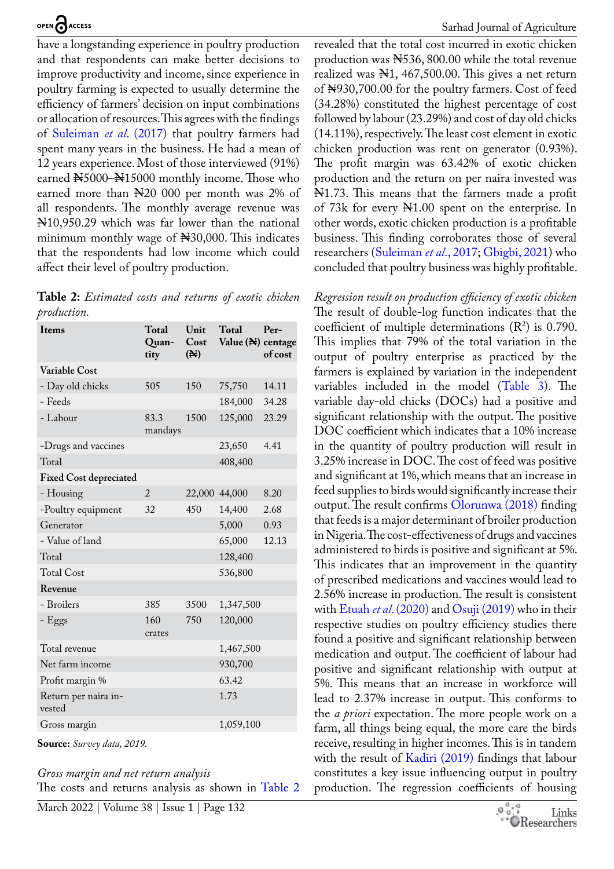have a longstanding experience in poultry production and that respondents can make better decisions to improve productivity and income, since experience in poultry farming is expected to usually determine the efficiency of farmers' decision on input combinations or allocation of resources. This agrees with the findings of [Suleiman](#page-8-6) *et al*. (2017) that poultry farmers had spent many years in the business. He had a mean of 12 years experience. Most of those interviewed (91%) earned N5000-N15000 monthly income. Those who earned more than N20 000 per month was 2% of all respondents. The monthly average revenue was N10,950.29 which was far lower than the national minimum monthly wage of N30,000. This indicates that the respondents had low income which could affect their level of poultry production.

<span id="page-4-0"></span>**Table 2:** *Estimated costs and returns of exotic chicken production.*

| Items                          | <b>Total</b><br>Quan-<br>tity | Unit<br>Cost<br>$(\mathbb{N})$ | <b>Total</b><br>Value (N) centage | Per-<br>of cost |
|--------------------------------|-------------------------------|--------------------------------|-----------------------------------|-----------------|
| Variable Cost                  |                               |                                |                                   |                 |
| - Day old chicks               | 505                           | 150                            | 75,750                            | 14.11           |
| - Feeds                        |                               |                                | 184,000                           | 34.28           |
| - Labour                       | 83.3<br>mandays               | 1500                           | 125,000                           | 23.29           |
| -Drugs and vaccines            |                               |                                | 23,650                            | 4.41            |
| Total                          |                               |                                | 408,400                           |                 |
| <b>Fixed Cost depreciated</b>  |                               |                                |                                   |                 |
| - Housing                      | $\overline{2}$                |                                | 22,000 44,000                     | 8.20            |
| -Poultry equipment             | 32                            | 450                            | 14,400                            | 2.68            |
| Generator                      |                               |                                | 5,000                             | 0.93            |
| - Value of land                |                               |                                | 65,000                            | 12.13           |
| Total                          |                               |                                | 128,400                           |                 |
| <b>Total Cost</b>              |                               |                                | 536,800                           |                 |
| Revenue                        |                               |                                |                                   |                 |
| - Broilers                     | 385                           | 3500                           | 1,347,500                         |                 |
| - Eggs                         | 160<br>crates                 | 750                            | 120,000                           |                 |
| Total revenue                  |                               |                                | 1,467,500                         |                 |
| Net farm income                |                               |                                | 930,700                           |                 |
| Profit margin %                |                               |                                | 63.42                             |                 |
| Return per naira in-<br>vested |                               |                                | 1.73                              |                 |
| Gross margin                   |                               |                                | 1,059,100                         |                 |

**Source:** *Survey data, 2019.*

#### *Gross margin and net return analysis*

The costs and returns analysis as shown in [Table 2](#page-4-0)

revealed that the total cost incurred in exotic chicken production was N536, 800.00 while the total revenue realized was N1, 467,500.00. This gives a net return of Negotia, 100.000 for the poultry farmers. Cost of feed (34.28%) constituted the highest percentage of cost followed by labour (23.29%) and cost of day old chicks (14.11%), respectively. The least cost element in exotic chicken production was rent on generator (0.93%). The profit margin was 63.42% of exotic chicken production and the return on per naira invested was N1.73. This means that the farmers made a profit of 73k for every N1.00 spent on the enterprise. In other words, exotic chicken production is a profitable business. This finding corroborates those of several researchers ([Suleiman](#page-8-6) *et al*., 2017; [Gbigbi, 2021\)](#page-7-14) who concluded that poultry business was highly profitable.

*Regression result on production efficiency of exotic chicken* The result of double-log function indicates that the coefficient of multiple determinations  $(R^2)$  is 0.790. This implies that 79% of the total variation in the output of poultry enterprise as practiced by the farmers is explained by variation in the independent variables included in the model ([Table 3\)](#page-5-0). The variable day-old chicks (DOCs) had a positive and significant relationship with the output. The positive DOC coefficient which indicates that a 10% increase in the quantity of poultry production will result in 3.25% increase in DOC. The cost of feed was positive and significant at 1%, which means that an increase in feed supplies to birds would significantly increase their output. The result confirms [Olorunwa \(2018\)](#page-7-15) finding that feeds is a major determinant of broiler production in Nigeria. The cost-effectiveness of drugs and vaccines administered to birds is positive and significant at 5%. This indicates that an improvement in the quantity of prescribed medications and vaccines would lead to 2.56% increase in production. The result is consistent with Etuah *et al*[. \(2020\)](#page-7-16) and [Osuji \(2019\)](#page-7-17) who in their respective studies on poultry efficiency studies there found a positive and significant relationship between medication and output. The coefficient of labour had positive and significant relationship with output at 5%. This means that an increase in workforce will lead to 2.37% increase in output. This conforms to the *a priori* expectation. The more people work on a farm, all things being equal, the more care the birds receive, resulting in higher incomes. This is in tandem with the result of [Kadiri \(2019\)](#page-7-18) findings that labour constitutes a key issue influencing output in poultry production. The regression coefficients of housing

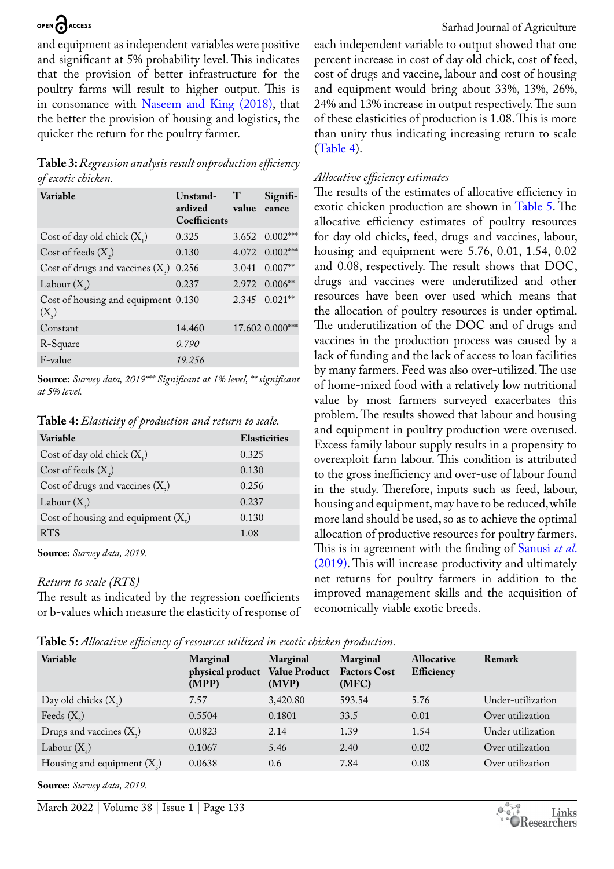and equipment as independent variables were positive and significant at 5% probability level. This indicates that the provision of better infrastructure for the poultry farms will result to higher output. This is in consonance with [Naseem and King \(2018\)](#page-7-19), that the better the provision of housing and logistics, the quicker the return for the poultry farmer.

<span id="page-5-0"></span>**Table 3:** *Regression analysis result onproduction efficiency of exotic chicken.*

| Variable                                             | Unstand-<br>ardized<br>Coefficients | $\mathbf T$<br>value | Signifi-<br>cance      |
|------------------------------------------------------|-------------------------------------|----------------------|------------------------|
| Cost of day old chick $(X_1)$                        | 0.325                               |                      | $3.652 \quad 0.002***$ |
| Cost of feeds $(X_2)$                                | 0.130                               |                      | 4.072 0.002***         |
| Cost of drugs and vaccines $(X_2)$                   | 0.256                               | 3.041                | $0.007**$              |
| Labour $(X_{\lambda})$                               | 0.237                               |                      | $2.972$ $0.006**$      |
| Cost of housing and equipment 0.130<br>$(X_{\zeta})$ |                                     |                      | $2.345$ $0.021**$      |
| Constant                                             | 14.460                              |                      | 17.602 0.000***        |
| R-Square                                             | 0.790                               |                      |                        |
| F-value                                              | 19.256                              |                      |                        |

**Source:** *Survey data, 2019\*\*\* Significant at 1% level, \*\* significant at 5% level.*

<span id="page-5-1"></span>**Table 4:** *Elasticity of production and return to scale.*

| Variable                                    | <b>Elasticities</b> |
|---------------------------------------------|---------------------|
| Cost of day old chick $(X_1)$               | 0.325               |
| Cost of feeds $(X_2)$                       | 0.130               |
| Cost of drugs and vaccines $(X_2)$          | 0.256               |
| Labour $(X_4)$                              | 0.237               |
| Cost of housing and equipment $(X_{\zeta})$ | 0.130               |
| <b>RTS</b>                                  | 1.08                |

**Source:** *Survey data, 2019.*

#### *Return to scale (RTS)*

The result as indicated by the regression coefficients or b-values which measure the elasticity of response of

Sarhad Journal of Agriculture

each independent variable to output showed that one percent increase in cost of day old chick, cost of feed, cost of drugs and vaccine, labour and cost of housing and equipment would bring about 33%, 13%, 26%, 24% and 13% increase in output respectively. The sum of these elasticities of production is 1.08. This is more than unity thus indicating increasing return to scale ([Table 4\)](#page-5-1).

#### *Allocative efficiency estimates*

The results of the estimates of allocative efficiency in exotic chicken production are shown in [Table 5.](#page-5-2) The allocative efficiency estimates of poultry resources for day old chicks, feed, drugs and vaccines, labour, housing and equipment were 5.76, 0.01, 1.54, 0.02 and 0.08, respectively. The result shows that DOC, drugs and vaccines were underutilized and other resources have been over used which means that the allocation of poultry resources is under optimal. The underutilization of the DOC and of drugs and vaccines in the production process was caused by a lack of funding and the lack of access to loan facilities by many farmers. Feed was also over-utilized. The use of home-mixed food with a relatively low nutritional value by most farmers surveyed exacerbates this problem. The results showed that labour and housing and equipment in poultry production were overused. Excess family labour supply results in a propensity to overexploit farm labour. This condition is attributed to the gross inefficiency and over-use of labour found in the study. Therefore, inputs such as feed, labour, housing and equipment, may have to be reduced, while more land should be used, so as to achieve the optimal allocation of productive resources for poultry farmers. This is in agreement with the finding of [Sanusi](#page-8-7) *et al*. [\(2019\).](#page-8-7) This will increase productivity and ultimately net returns for poultry farmers in addition to the improved management skills and the acquisition of economically viable exotic breeds.

<span id="page-5-2"></span>**Table 5:** *Allocative efficiency of resources utilized in exotic chicken production.*

| IJ<br>Variable                  | Marginal<br>physical product<br>(MPP) | Marginal<br><b>Value Product</b><br>(MVP) | Marginal<br><b>Factors Cost</b><br>(MFC) | <b>Allocative</b><br><b>Efficiency</b> | Remark            |
|---------------------------------|---------------------------------------|-------------------------------------------|------------------------------------------|----------------------------------------|-------------------|
| Day old chicks $(X_1)$          | 7.57                                  | 3,420.80                                  | 593.54                                   | 5.76                                   | Under-utilization |
| Feeds $(X_2)$                   | 0.5504                                | 0.1801                                    | 33.5                                     | 0.01                                   | Over utilization  |
| Drugs and vaccines $(X_2)$      | 0.0823                                | 2.14                                      | 1.39                                     | 1.54                                   | Under utilization |
| Labour $(X_4)$                  | 0.1067                                | 5.46                                      | 2.40                                     | 0.02                                   | Over utilization  |
| Housing and equipment $(X_{s})$ | 0.0638                                | 0.6                                       | 7.84                                     | 0.08                                   | Over utilization  |

**Source:** *Survey data, 2019.*

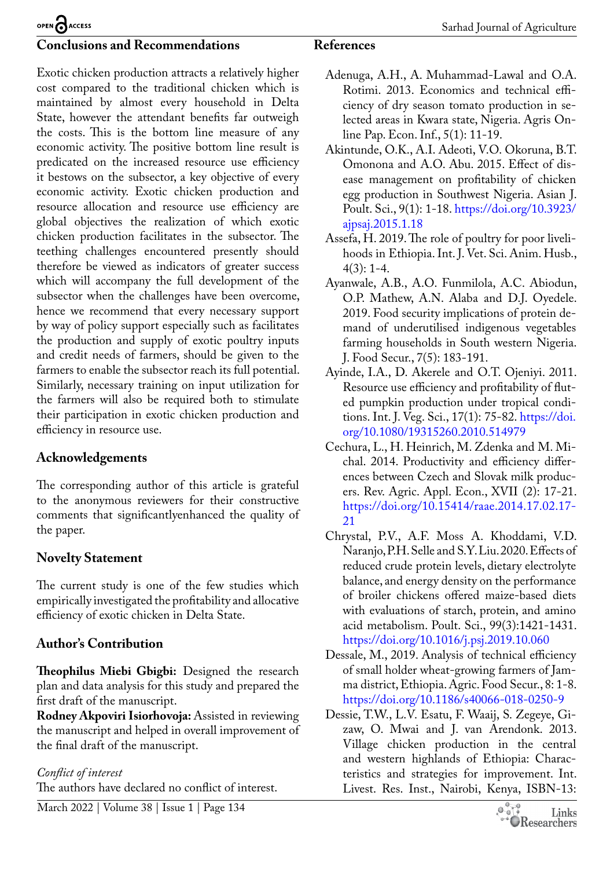#### **Conclusions and Recommendations**

Exotic chicken production attracts a relatively higher cost compared to the traditional chicken which is maintained by almost every household in Delta State, however the attendant benefits far outweigh the costs. This is the bottom line measure of any economic activity. The positive bottom line result is predicated on the increased resource use efficiency it bestows on the subsector, a key objective of every economic activity. Exotic chicken production and resource allocation and resource use efficiency are global objectives the realization of which exotic chicken production facilitates in the subsector. The teething challenges encountered presently should therefore be viewed as indicators of greater success which will accompany the full development of the subsector when the challenges have been overcome, hence we recommend that every necessary support by way of policy support especially such as facilitates the production and supply of exotic poultry inputs and credit needs of farmers, should be given to the farmers to enable the subsector reach its full potential. Similarly, necessary training on input utilization for the farmers will also be required both to stimulate their participation in exotic chicken production and efficiency in resource use.

## **Acknowledgements**

The corresponding author of this article is grateful to the anonymous reviewers for their constructive comments that significantlyenhanced the quality of the paper.

## **Novelty Statement**

The current study is one of the few studies which empirically investigated the profitability and allocative efficiency of exotic chicken in Delta State.

## **Author's Contribution**

**Theophilus Miebi Gbigbi:** Designed the research plan and data analysis for this study and prepared the first draft of the manuscript.

**Rodney Akpoviri Isiorhovoja:** Assisted in reviewing the manuscript and helped in overall improvement of the final draft of the manuscript.

## *Conflict of interest*

The authors have declared no conflict of interest.

## **References**

- <span id="page-6-7"></span>Adenuga, A.H., A. Muhammad-Lawal and O.A. Rotimi. 2013. Economics and technical efficiency of dry season tomato production in selected areas in Kwara state, Nigeria. Agris Online Pap. Econ. Inf., 5(1): 11-19.
- <span id="page-6-3"></span>Akintunde, O.K., A.I. Adeoti, V.O. Okoruna, B.T. Omonona and A.O. Abu. 2015. Effect of disease management on profitability of chicken egg production in Southwest Nigeria. Asian J. Poult. Sci., 9(1): 1-18. [https://doi.org/10.3923/](https://doi.org/10.3923/ajpsaj.2015.1.18) [ajpsaj.2015.1.18](https://doi.org/10.3923/ajpsaj.2015.1.18)
- <span id="page-6-2"></span>Assefa, H. 2019. The role of poultry for poor livelihoods in Ethiopia. Int. J. Vet. Sci. Anim. Husb.,  $4(3): 1-4.$
- <span id="page-6-1"></span>Ayanwale, A.B., A.O. Funmilola, A.C. Abiodun, O.P. Mathew, A.N. Alaba and D.J. Oyedele. 2019. Food security implications of protein demand of underutilised indigenous vegetables farming households in South western Nigeria. J. Food Secur., 7(5): 183-191.
- <span id="page-6-8"></span>Ayinde, I.A., D. Akerele and O.T. Ojeniyi. 2011. Resource use efficiency and profitability of fluted pumpkin production under tropical conditions. Int. J. Veg. Sci., 17(1): 75-82. [https://doi.](https://doi.org/10.1080/19315260.2010.514979) [org/10.1080/19315260.2010.514979](https://doi.org/10.1080/19315260.2010.514979)
- <span id="page-6-5"></span>Cechura, L., H. Heinrich, M. Zdenka and M. Michal. 2014. Productivity and efficiency differences between Czech and Slovak milk producers. Rev. Agric. Appl. Econ., XVII (2): 17-21. [https://doi.org/10.15414/raae.2014.17.02.17-](https://doi.org/10.15414/raae.2014.17.02.17-21) [21](https://doi.org/10.15414/raae.2014.17.02.17-21)
- <span id="page-6-0"></span>Chrystal, P.V., A.F. Moss A. Khoddami, V.D. Naranjo, P.H. Selle and S.Y. Liu. 2020. Effects of reduced crude protein levels, dietary electrolyte balance, and energy density on the performance of broiler chickens offered maize-based diets with evaluations of starch, protein, and amino acid metabolism. Poult. Sci., 99(3):1421-1431. <https://doi.org/10.1016/j.psj.2019.10.060>
- <span id="page-6-6"></span>Dessale, M., 2019. Analysis of technical efficiency of small holder wheat-growing farmers of Jamma district, Ethiopia. Agric. Food Secur., 8: 1-8. <https://doi.org/10.1186/s40066-018-0250-9>
- <span id="page-6-4"></span>Dessie, T.W., L.V. Esatu, F. Waaij, S. Zegeye, Gizaw, O. Mwai and J. van Arendonk. 2013. Village chicken production in the central and western highlands of Ethiopia: Characteristics and strategies for improvement. Int. Livest. Res. Inst., Nairobi, Kenya, ISBN-13: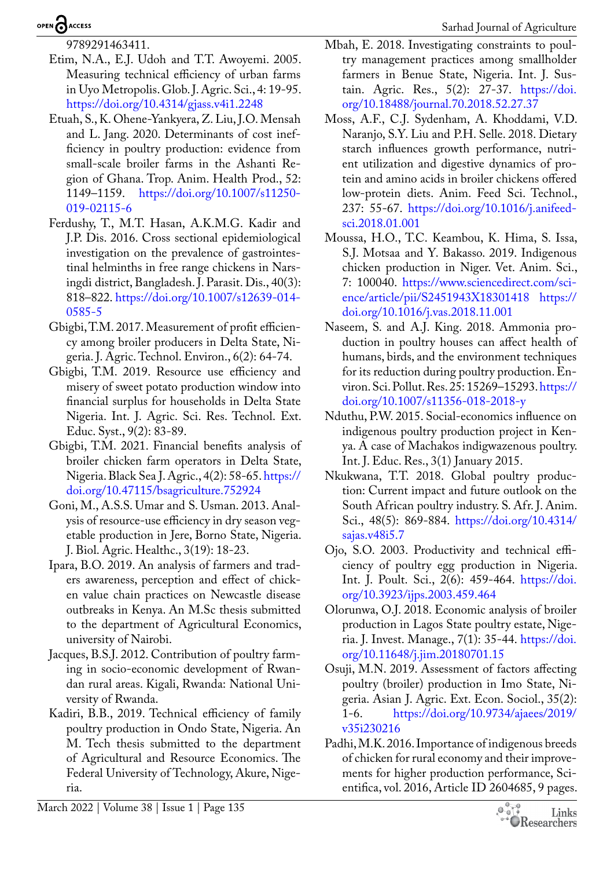9789291463411.

- <span id="page-7-10"></span>Etim, N.A., E.J. Udoh and T.T. Awoyemi. 2005. Measuring technical efficiency of urban farms in Uyo Metropolis. Glob. J. Agric. Sci., 4: 19-95. <https://doi.org/10.4314/gjass.v4i1.2248>
- <span id="page-7-16"></span>Etuah, S., K. Ohene-Yankyera, Z. Liu, J.O. Mensah and L. Jang. 2020. Determinants of cost inefficiency in poultry production: evidence from small-scale broiler farms in the Ashanti Region of Ghana. Trop. Anim. Health Prod., 52: 1149–1159. [https://doi.org/10.1007/s11250-](https://doi.org/10.1007/s11250-019-02115-6) [019-02115-6](https://doi.org/10.1007/s11250-019-02115-6)
- <span id="page-7-1"></span>Ferdushy, T., M.T. Hasan, A.K.M.G. Kadir and J.P. Dis. 2016. Cross sectional epidemiological investigation on the prevalence of gastrointestinal helminths in free range chickens in Narsingdi district, Bangladesh. J. Parasit. Dis., 40(3): 818–822. [https://doi.org/10.1007/s12639-014-](https://doi.org/10.1007/s12639-014-0585-5) [0585-5](https://doi.org/10.1007/s12639-014-0585-5)
- <span id="page-7-8"></span>Gbigbi, T.M. 2017. Measurement of profit efficiency among broiler producers in Delta State, Nigeria. J. Agric. Technol. Environ., 6(2): 64-74.
- <span id="page-7-7"></span>Gbigbi, T.M. 2019. Resource use efficiency and misery of sweet potato production window into financial surplus for households in Delta State Nigeria. Int. J. Agric. Sci. Res. Technol. Ext. Educ. Syst., 9(2): 83-89.
- <span id="page-7-14"></span>Gbigbi, T.M. 2021. Financial benefits analysis of broiler chicken farm operators in Delta State, Nigeria. Black Sea J. Agric., 4(2): 58-65. [https://](https://doi.org/10.47115/bsagriculture.752924) [doi.org/10.47115/bsagriculture.752924](https://doi.org/10.47115/bsagriculture.752924)
- <span id="page-7-11"></span>Goni, M., A.S.S. Umar and S. Usman. 2013. Analysis of resource-use efficiency in dry season vegetable production in Jere, Borno State, Nigeria. J. Biol. Agric. Healthc., 3(19): 18-23.
- <span id="page-7-3"></span>Ipara, B.O. 2019. An analysis of farmers and traders awareness, perception and effect of chicken value chain practices on Newcastle disease outbreaks in Kenya. An M.Sc thesis submitted to the department of Agricultural Economics, university of Nairobi.
- <span id="page-7-4"></span>Jacques, B.S.J. 2012. Contribution of poultry farming in socio-economic development of Rwandan rural areas. Kigali, Rwanda: National University of Rwanda.
- <span id="page-7-18"></span>Kadiri, B.B., 2019. Technical efficiency of family poultry production in Ondo State, Nigeria. An M. Tech thesis submitted to the department of Agricultural and Resource Economics. The Federal University of Technology, Akure, Nigeria.

Sarhad Journal of Agriculture

- <span id="page-7-13"></span>Mbah, E. 2018. Investigating constraints to poultry management practices among smallholder farmers in Benue State, Nigeria. Int. J. Sustain. Agric. Res., 5(2): 27-37. [https://doi.](https://doi.org/10.18488/journal.70.2018.52.27.37) [org/10.18488/journal.70.2018.52.27.37](https://doi.org/10.18488/journal.70.2018.52.27.37)
- <span id="page-7-0"></span>Moss, A.F., C.J. Sydenham, A. Khoddami, V.D. Naranjo, S.Y. Liu and P.H. Selle. 2018. Dietary starch influences growth performance, nutrient utilization and digestive dynamics of protein and amino acids in broiler chickens offered low-protein diets. Anim. Feed Sci. Technol., 237: 55-67. [https://doi.org/10.1016/j.anifeed](https://doi.org/10.1016/j.anifeedsci.2018.01.001)[sci.2018.01.001](https://doi.org/10.1016/j.anifeedsci.2018.01.001)
- <span id="page-7-12"></span>Moussa, H.O., T.C. Keambou, K. Hima, S. Issa, S.J. Motsaa and Y. Bakasso. 2019. Indigenous chicken production in Niger. Vet. Anim. Sci., 7: 100040. [https://www.sciencedirect.com/sci](https://www.sciencedirect.com/science/article/pii/S2451943X18301418)[ence/article/pii/S2451943X18301418](https://www.sciencedirect.com/science/article/pii/S2451943X18301418) [https://](https://doi.org/10.1016/j.vas.2018.11.001) [doi.org/10.1016/j.vas.2018.11.001](https://doi.org/10.1016/j.vas.2018.11.001)
- <span id="page-7-19"></span>Naseem, S. and A.J. King. 2018. Ammonia production in poultry houses can affect health of humans, birds, and the environment techniques for its reduction during poultry production. Environ. Sci. Pollut. Res. 25: 15269–15293. [https://](https://doi.org/10.1007/s11356-018-2018-y) [doi.org/10.1007/s11356-018-2018-y](https://doi.org/10.1007/s11356-018-2018-y)
- <span id="page-7-2"></span>Nduthu, P.W. 2015. Social-economics influence on indigenous poultry production project in Kenya. A case of Machakos indigwazenous poultry. Int. J. Educ. Res., 3(1) January 2015.
- <span id="page-7-5"></span>Nkukwana, T.T. 2018. Global poultry production: Current impact and future outlook on the South African poultry industry. S. Afr. J. Anim. Sci., 48(5): 869-884. [https://doi.org/10.4314/](https://doi.org/10.4314/sajas.v48i5.7) [sajas.v48i5.7](https://doi.org/10.4314/sajas.v48i5.7)
- <span id="page-7-9"></span>Ojo, S.O. 2003. Productivity and technical efficiency of poultry egg production in Nigeria. Int. J. Poult. Sci., 2(6): 459-464. [https://doi.](https://doi.org/10.3923/ijps.2003.459.464) [org/10.3923/ijps.2003.459.464](https://doi.org/10.3923/ijps.2003.459.464)
- <span id="page-7-15"></span>Olorunwa, O.J. 2018. Economic analysis of broiler production in Lagos State poultry estate, Nigeria. J. Invest. Manage., 7(1): 35-44. [https://doi.](https://doi.org/10.11648/j.jim.20180701.15) [org/10.11648/j.jim.20180701.15](https://doi.org/10.11648/j.jim.20180701.15)
- <span id="page-7-17"></span>Osuji, M.N. 2019. Assessment of factors affecting poultry (broiler) production in Imo State, Nigeria. Asian J. Agric. Ext. Econ. Sociol., 35(2): 1-6. [https://doi.org/10.9734/ajaees/2019/](https://doi.org/10.9734/ajaees/2019/v35i230216) [v35i230216](https://doi.org/10.9734/ajaees/2019/v35i230216)
- <span id="page-7-6"></span>Padhi, M.K. 2016. Importance of indigenous breeds of chicken for rural economy and their improvements for higher production performance, Scientifica, vol. 2016, Article ID 2604685, 9 pages.